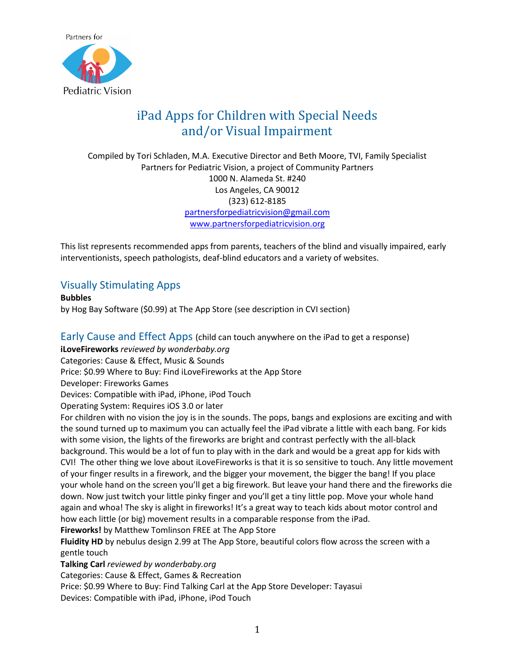

# iPad Apps for Children with Special Needs and/or Visual Impairment

Compiled by Tori Schladen, M.A. Executive Director and Beth Moore, TVI, Family Specialist Partners for Pediatric Vision, a project of Community Partners 1000 N. Alameda St. #240 Los Angeles, CA 90012 (323) 612-8185 [partnersforpediatricvision@gmail.com](mailto:partnersforpediatricvision@gmail.com) [www.partnersforpediatricvision.org](http://www.partnersforpediatricvision.org/)

This list represents recommended apps from parents, teachers of the blind and visually impaired, early interventionists, speech pathologists, deaf-blind educators and a variety of websites.

# Visually Stimulating Apps

**Bubbles** 

by Hog Bay Software (\$0.99) at The App Store (see description in CVI section)

Early Cause and Effect Apps (child can touch anywhere on the iPad to get a response)

**iLoveFireworks** *reviewed by wonderbaby.org*

Categories: Cause & Effect, Music & Sounds

Price: \$0.99 Where to Buy: Find iLoveFireworks at the App Store

Developer: Fireworks Games

Devices: Compatible with iPad, iPhone, iPod Touch

Operating System: Requires iOS 3.0 or later

For children with no vision the joy is in the sounds. The pops, bangs and explosions are exciting and with the sound turned up to maximum you can actually feel the iPad vibrate a little with each bang. For kids with some vision, the lights of the fireworks are bright and contrast perfectly with the all-black background. This would be a lot of fun to play with in the dark and would be a great app for kids with CVI! The other thing we love about iLoveFireworks is that it is so sensitive to touch. Any little movement of your finger results in a firework, and the bigger your movement, the bigger the bang! If you place your whole hand on the screen you'll get a big firework. But leave your hand there and the fireworks die down. Now just twitch your little pinky finger and you'll get a tiny little pop. Move your whole hand again and whoa! The sky is alight in fireworks! It's a great way to teach kids about motor control and how each little (or big) movement results in a comparable response from the iPad.

**Fireworks!** by Matthew Tomlinson FREE at The App Store

**Fluidity HD** by nebulus design 2.99 at The App Store, beautiful colors flow across the screen with a gentle touch

**Talking Carl** *reviewed by wonderbaby.org*

Categories: Cause & Effect, Games & Recreation

Price: \$0.99 Where to Buy: Find Talking Carl at the App Store Developer: Tayasui

Devices: Compatible with iPad, iPhone, iPod Touch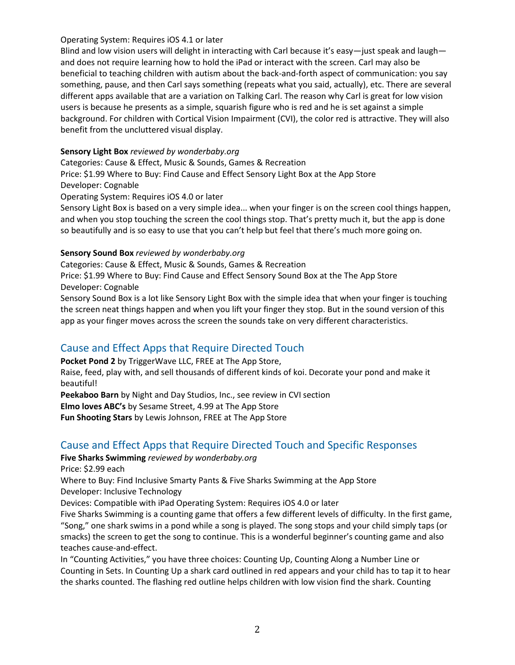#### Operating System: Requires iOS 4.1 or later

Blind and low vision users will delight in interacting with Carl because it's easy—just speak and laugh and does not require learning how to hold the iPad or interact with the screen. Carl may also be beneficial to teaching children with autism about the back-and-forth aspect of communication: you say something, pause, and then Carl says something (repeats what you said, actually), etc. There are several different apps available that are a variation on Talking Carl. The reason why Carl is great for low vision users is because he presents as a simple, squarish figure who is red and he is set against a simple background. For children with Cortical Vision Impairment (CVI), the color red is attractive. They will also benefit from the uncluttered visual display.

#### **Sensory Light Box** *reviewed by wonderbaby.org*

Categories: Cause & Effect, Music & Sounds, Games & Recreation

Price: \$1.99 Where to Buy: Find Cause and Effect Sensory Light Box at the App Store

Developer: Cognable

Operating System: Requires iOS 4.0 or later

Sensory Light Box is based on a very simple idea... when your finger is on the screen cool things happen, and when you stop touching the screen the cool things stop. That's pretty much it, but the app is done so beautifully and is so easy to use that you can't help but feel that there's much more going on.

#### **Sensory Sound Box** *reviewed by wonderbaby.org*

Categories: Cause & Effect, Music & Sounds, Games & Recreation

Price: \$1.99 Where to Buy: Find Cause and Effect Sensory Sound Box at the The App Store Developer: Cognable

Sensory Sound Box is a lot like Sensory Light Box with the simple idea that when your finger is touching the screen neat things happen and when you lift your finger they stop. But in the sound version of this app as your finger moves across the screen the sounds take on very different characteristics.

## Cause and Effect Apps that Require Directed Touch

**Pocket Pond 2** by TriggerWave LLC, FREE at The App Store,

Raise, feed, play with, and sell thousands of different kinds of koi. Decorate your pond and make it beautiful!

**Peekaboo Barn** by Night and Day Studios, Inc., see review in CVI section **Elmo loves ABC's** by Sesame Street, 4.99 at The App Store **Fun Shooting Stars** by Lewis Johnson, FREE at The App Store

# Cause and Effect Apps that Require Directed Touch and Specific Responses

**Five Sharks Swimming** *reviewed by wonderbaby.org*

Price: \$2.99 each

Where to Buy: Find Inclusive Smarty Pants & Five Sharks Swimming at the App Store Developer: Inclusive Technology

Devices: Compatible with iPad Operating System: Requires iOS 4.0 or later

Five Sharks Swimming is a counting game that offers a few different levels of difficulty. In the first game, "Song," one shark swims in a pond while a song is played. The song stops and your child simply taps (or smacks) the screen to get the song to continue. This is a wonderful beginner's counting game and also teaches cause-and-effect.

In "Counting Activities," you have three choices: Counting Up, Counting Along a Number Line or Counting in Sets. In Counting Up a shark card outlined in red appears and your child has to tap it to hear the sharks counted. The flashing red outline helps children with low vision find the shark. Counting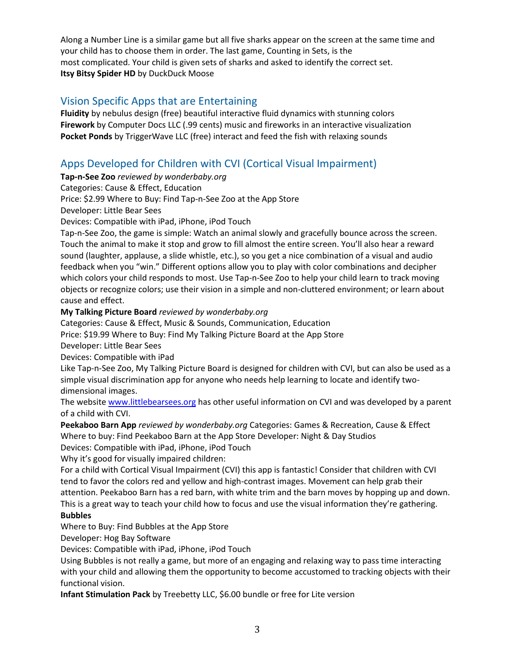Along a Number Line is a similar game but all five sharks appear on the screen at the same time and your child has to choose them in order. The last game, Counting in Sets, is the most complicated. Your child is given sets of sharks and asked to identify the correct set. **Itsy Bitsy Spider HD** by DuckDuck Moose

# Vision Specific Apps that are Entertaining

**Fluidity** by nebulus design (free) beautiful interactive fluid dynamics with stunning colors **Firework** by Computer Docs LLC (.99 cents) music and fireworks in an interactive visualization **Pocket Ponds** by TriggerWave LLC (free) interact and feed the fish with relaxing sounds

# Apps Developed for Children with CVI (Cortical Visual Impairment)

**Tap-n-See Zoo** *reviewed by wonderbaby.org*

Categories: Cause & Effect, Education

Price: \$2.99 Where to Buy: Find Tap-n-See Zoo at the App Store

Developer: Little Bear Sees

Devices: Compatible with iPad, iPhone, iPod Touch

Tap-n-See Zoo, the game is simple: Watch an animal slowly and gracefully bounce across the screen. Touch the animal to make it stop and grow to fill almost the entire screen. You'll also hear a reward sound (laughter, applause, a slide whistle, etc.), so you get a nice combination of a visual and audio feedback when you "win." Different options allow you to play with color combinations and decipher which colors your child responds to most. Use Tap-n-See Zoo to help your child learn to track moving objects or recognize colors; use their vision in a simple and non-cluttered environment; or learn about cause and effect.

**My Talking Picture Board** *reviewed by wonderbaby.org*

Categories: Cause & Effect, Music & Sounds, Communication, Education

Price: \$19.99 Where to Buy: Find My Talking Picture Board at the App Store

Developer: Little Bear Sees

Devices: Compatible with iPad

Like Tap-n-See Zoo, My Talking Picture Board is designed for children with CVI, but can also be used as a simple visual discrimination app for anyone who needs help learning to locate and identify twodimensional images.

The websit[e www.littlebearsees.org](http://www.littlebearsees.org/) has other useful information on CVI and was developed by a parent of a child with CVI.

**Peekaboo Barn App** *reviewed by wonderbaby.org* Categories: Games & Recreation, Cause & Effect Where to buy: Find Peekaboo Barn at the App Store Developer: Night & Day Studios

Devices: Compatible with iPad, iPhone, iPod Touch

Why it's good for visually impaired children:

For a child with Cortical Visual Impairment (CVI) this app is fantastic! Consider that children with CVI tend to favor the colors red and yellow and high-contrast images. Movement can help grab their attention. Peekaboo Barn has a red barn, with white trim and the barn moves by hopping up and down. This is a great way to teach your child how to focus and use the visual information they're gathering. **Bubbles** 

Where to Buy: Find Bubbles at the App Store

Developer: Hog Bay Software

Devices: Compatible with iPad, iPhone, iPod Touch

Using Bubbles is not really a game, but more of an engaging and relaxing way to pass time interacting with your child and allowing them the opportunity to become accustomed to tracking objects with their functional vision.

**Infant Stimulation Pack** by Treebetty LLC, \$6.00 bundle or free for Lite version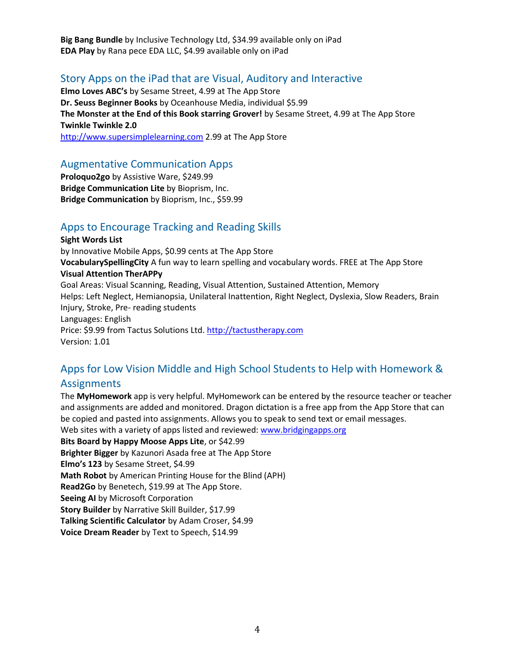**Big Bang Bundle** by Inclusive Technology Ltd, \$34.99 available only on iPad **EDA Play** by Rana pece EDA LLC, \$4.99 available only on iPad

### Story Apps on the iPad that are Visual, Auditory and Interactive

**Elmo Loves ABC's** by Sesame Street, 4.99 at The App Store **Dr. Seuss Beginner Books** by Oceanhouse Media, individual \$5.99 **The Monster at the End of this Book starring Grover!** by Sesame Street, 4.99 at The App Store **Twinkle Twinkle 2.0**  [http://www.supersimplelearning.com](http://www.supersimplelearning.com/) 2.99 at The App Store

#### Augmentative Communication Apps

**Proloquo2go** by Assistive Ware, \$249.99 **Bridge Communication Lite** by Bioprism, Inc. **Bridge Communication** by Bioprism, Inc., \$59.99

### Apps to Encourage Tracking and Reading Skills

**Sight Words List**  by Innovative Mobile Apps, \$0.99 cents at The App Store **VocabularySpellingCity** A fun way to learn spelling and vocabulary words. FREE at The App Store **Visual Attention TherAPPy**  Goal Areas: Visual Scanning, Reading, Visual Attention, Sustained Attention, Memory Helps: Left Neglect, Hemianopsia, Unilateral Inattention, Right Neglect, Dyslexia, Slow Readers, Brain Injury, Stroke, Pre- reading students Languages: English Price: \$9.99 from Tactus Solutions Ltd. [http://tactustherapy.com](http://tactustherapy.com/) Version: 1.01

# Apps for Low Vision Middle and High School Students to Help with Homework & **Assignments**

The **MyHomework** app is very helpful. MyHomework can be entered by the resource teacher or teacher and assignments are added and monitored. Dragon dictation is a free app from the App Store that can be copied and pasted into assignments. Allows you to speak to send text or email messages. Web sites with a variety of apps listed and reviewed: [www.bridgingapps.org](http://www.bridgingapps.org/)

**Bits Board by Happy Moose Apps Lite**, or \$42.99 **Brighter Bigger** by Kazunori Asada free at The App Store **Elmo's 123** by Sesame Street, \$4.99 **Math Robot** by American Printing House for the Blind (APH) **Read2Go** by Benetech, \$19.99 at The App Store. **Seeing AI** by Microsoft Corporation **Story Builder** by Narrative Skill Builder, \$17.99 **Talking Scientific Calculator** by Adam Croser, \$4.99 **Voice Dream Reader** by Text to Speech, \$14.99